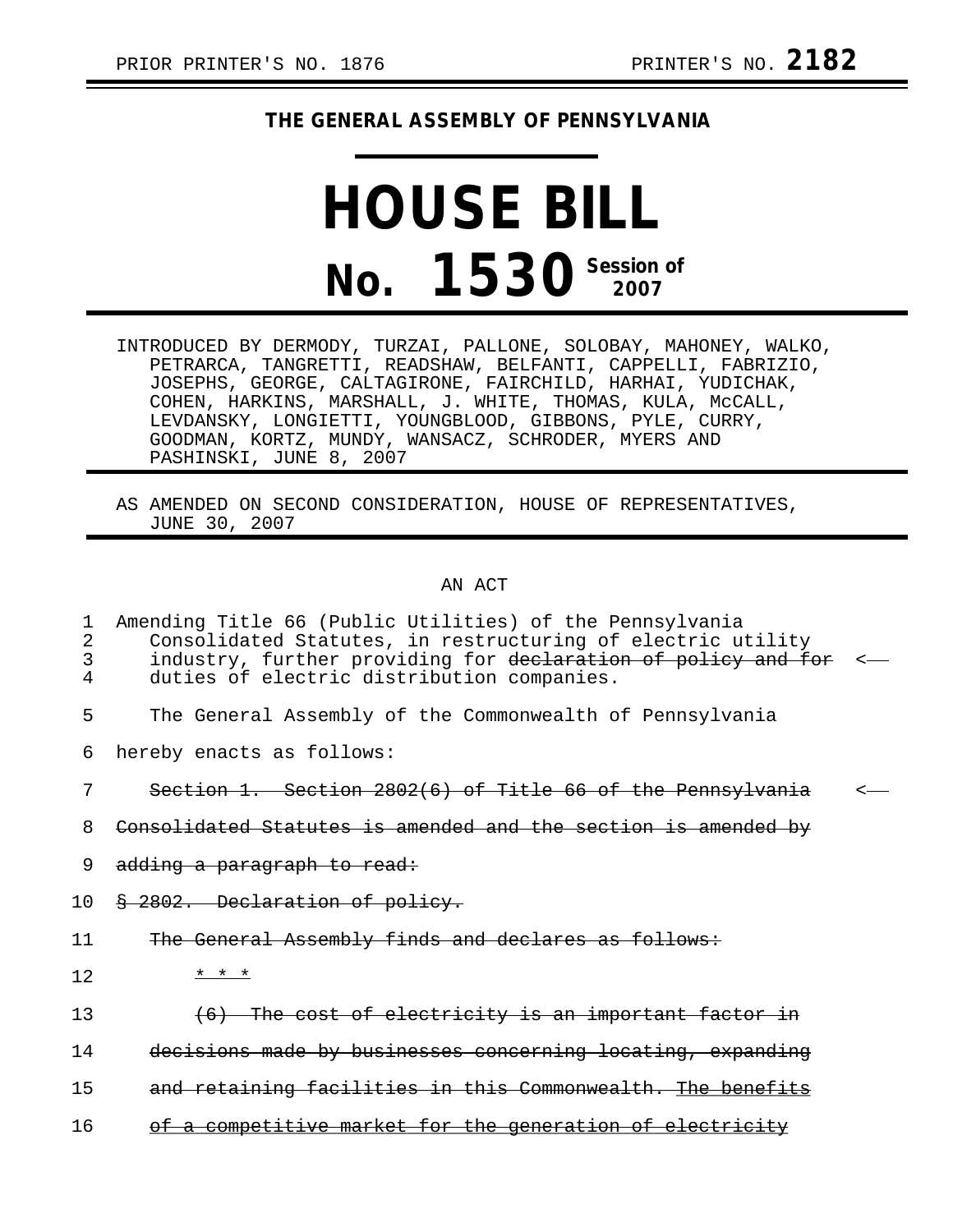## **THE GENERAL ASSEMBLY OF PENNSYLVANIA**

## **HOUSE BILL No. 1530** Session of

- INTRODUCED BY DERMODY, TURZAI, PALLONE, SOLOBAY, MAHONEY, WALKO, PETRARCA, TANGRETTI, READSHAW, BELFANTI, CAPPELLI, FABRIZIO, JOSEPHS, GEORGE, CALTAGIRONE, FAIRCHILD, HARHAI, YUDICHAK, COHEN, HARKINS, MARSHALL, J. WHITE, THOMAS, KULA, McCALL, LEVDANSKY, LONGIETTI, YOUNGBLOOD, GIBBONS, PYLE, CURRY, GOODMAN, KORTZ, MUNDY, WANSACZ, SCHRODER, MYERS AND PASHINSKI, JUNE 8, 2007
- AS AMENDED ON SECOND CONSIDERATION, HOUSE OF REPRESENTATIVES, JUNE 30, 2007

## AN ACT

| 1<br>2<br>3<br>4 | Amending Title 66 (Public Utilities) of the Pennsylvania<br>Consolidated Statutes, in restructuring of electric utility<br>industry, further providing for declaration of policy and for<br>duties of electric distribution companies. |  |
|------------------|----------------------------------------------------------------------------------------------------------------------------------------------------------------------------------------------------------------------------------------|--|
| 5                | The General Assembly of the Commonwealth of Pennsylvania                                                                                                                                                                               |  |
| 6                | hereby enacts as follows:                                                                                                                                                                                                              |  |
| 7                | Section 1. Section 2802(6) of Title 66 of the Pennsylvania                                                                                                                                                                             |  |
| 8                | Consolidated Statutes is amended and the section is amended by                                                                                                                                                                         |  |
| 9                | adding a paragraph to read:                                                                                                                                                                                                            |  |
| 10               | § 2802. Declaration of policy.                                                                                                                                                                                                         |  |
| 11               | The General Assembly finds and declares as follows:                                                                                                                                                                                    |  |
| 12               | * * *                                                                                                                                                                                                                                  |  |
| 13               | (6) The cost of electricity is an important factor in                                                                                                                                                                                  |  |
| 14               | decisions made by businesses concerning locating, expanding                                                                                                                                                                            |  |
| 15               | and retaining facilities in this Commonwealth. The benefits                                                                                                                                                                            |  |
| 16               | of a competitive market for the generation of electricity                                                                                                                                                                              |  |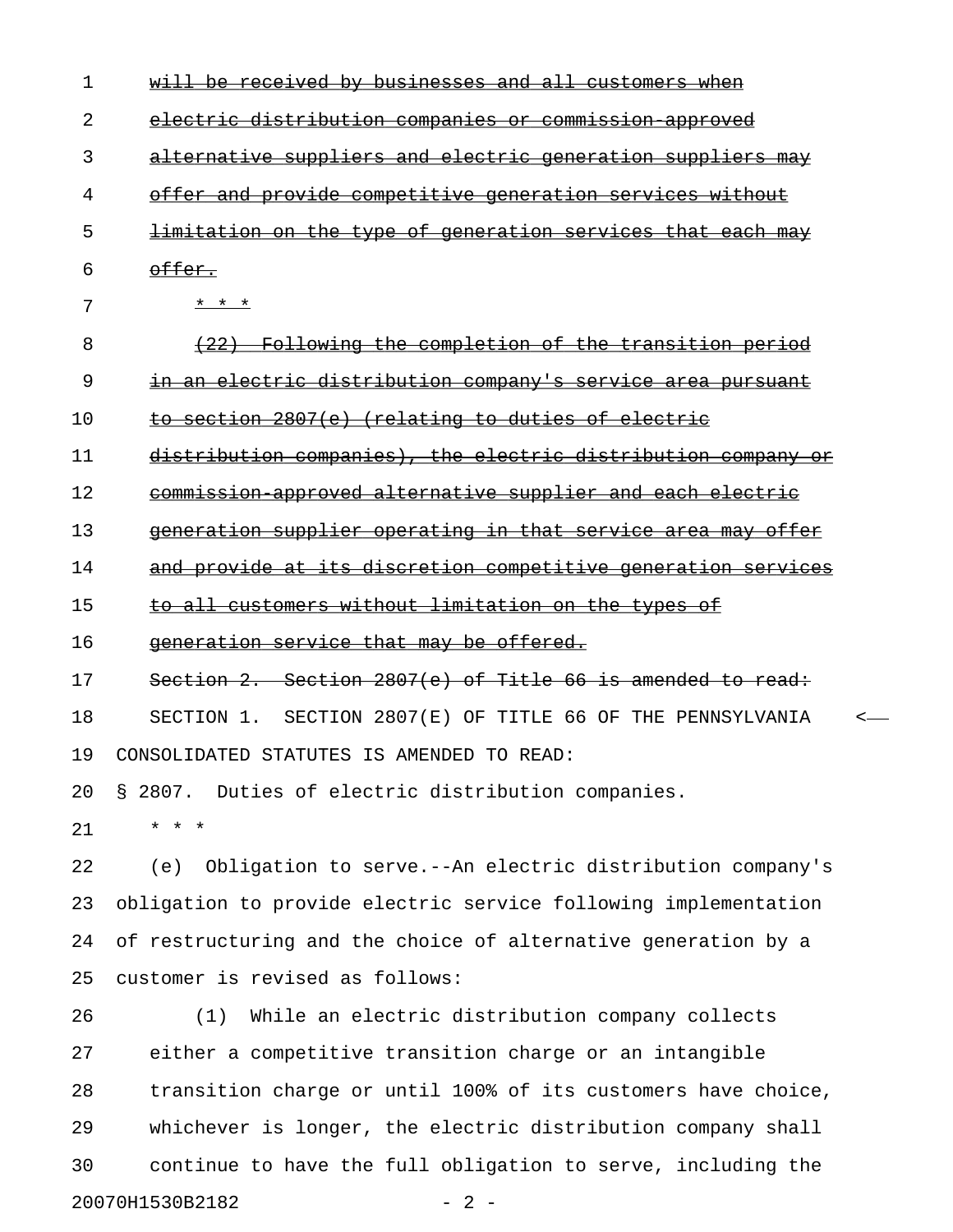| 2  | electric distribution companies or commission approved             |
|----|--------------------------------------------------------------------|
| 3  | alternative suppliers and electric generation suppliers may        |
| 4  | offer and provide competitive generation services without          |
| 5  | <u>limitation on the type of generation services that each may</u> |
| 6  | offer.                                                             |
| 7  | * * *                                                              |
| 8  | (22) Following the completion of the transition period             |
| 9  | in an electric distribution company's service area pursuant        |
| 10 | to section 2807(e) (relating to duties of electric                 |
| 11 | distribution companies), the electric distribution company or      |
| 12 | commission approved alternative supplier and each electric         |
| 13 | generation supplier operating in that service area may offer       |
| 14 | and provide at its discretion competitive generation services      |
| 15 | to all customers without limitation on the types of                |
| 16 | generation service that may be offered.                            |
| 17 | Section 2. Section 2807(e) of Title 66 is amended to read:         |
| 18 | SECTION 1. SECTION 2807(E) OF TITLE 66 OF THE PENNSYLVANIA         |
| 19 | CONSOLIDATED STATUTES IS AMENDED TO READ:                          |
|    | 20 § 2807. Duties of electric distribution companies               |
| 21 | * * *                                                              |
| 22 | (e) Obligation to serve.--An electric distribution company's       |
| 23 | obligation to provide electric service following implementation    |
| 24 | of restructuring and the choice of alternative generation by a     |
| 25 | customer is revised as follows:                                    |
| 26 | While an electric distribution company collects<br>(1)             |
| 27 | either a competitive transition charge or an intangible            |
| 28 | transition charge or until 100% of its customers have choice,      |
| 29 | whichever is longer, the electric distribution company shall       |
| 30 | continue to have the full obligation to serve, including the       |
|    | 20070H1530B2182<br>$-2-$                                           |

1 will be received by businesses and all customers when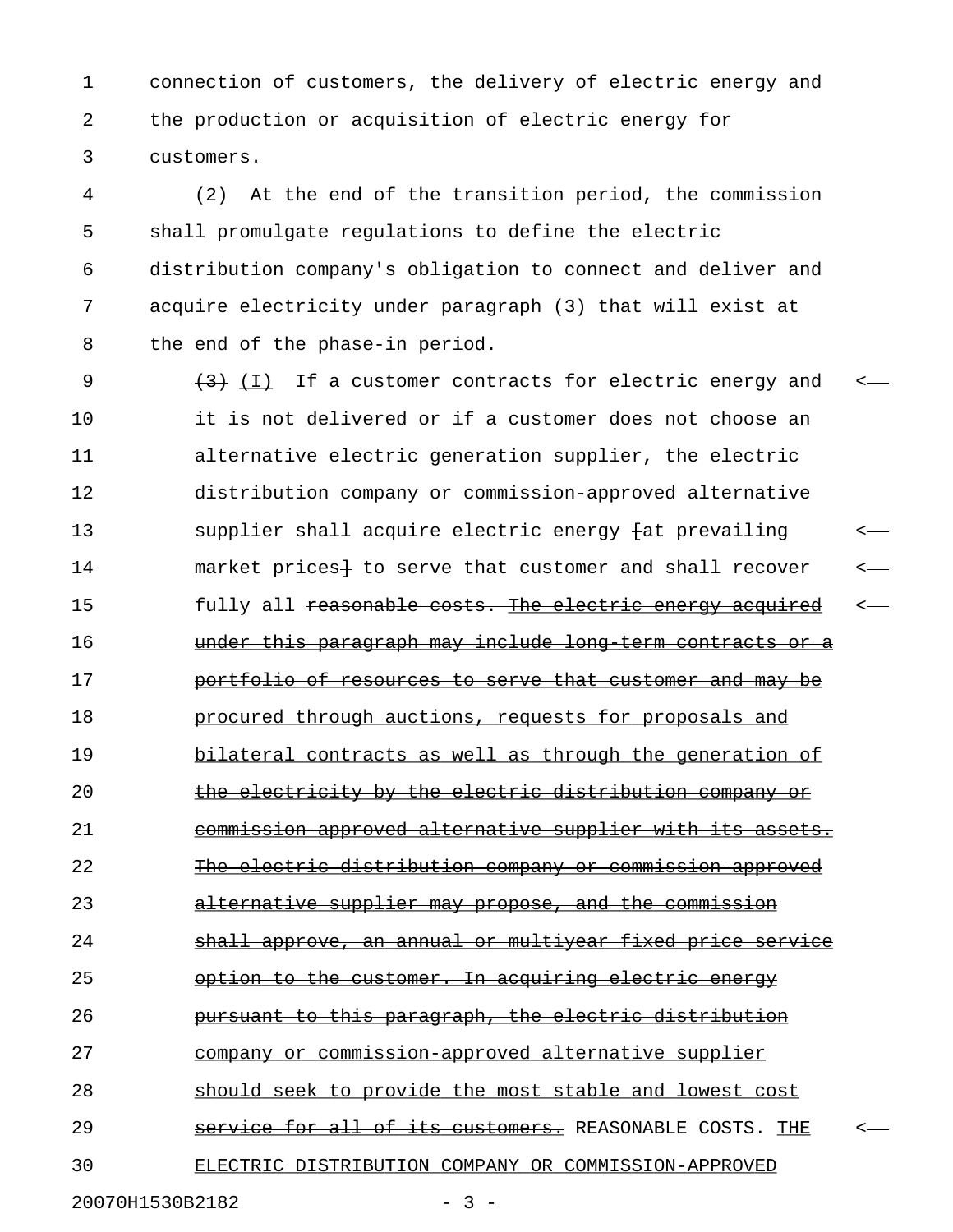1 connection of customers, the delivery of electric energy and 2 the production or acquisition of electric energy for 3 customers.

4 (2) At the end of the transition period, the commission 5 shall promulgate regulations to define the electric 6 distribution company's obligation to connect and deliver and 7 acquire electricity under paragraph (3) that will exist at 8 the end of the phase-in period.

9  $(3)$  (I) If a customer contracts for electric energy and  $\leq$ 10 it is not delivered or if a customer does not choose an 11 alternative electric generation supplier, the electric 12 distribution company or commission-approved alternative 13 supplier shall acquire electric energy fat prevailing <-14 market prices<sup>1</sup> to serve that customer and shall recover 15 fully all reasonable costs. The electric energy acquired <-16 **under this paragraph may include long term contracts or a** 17 **portfolio of resources to serve that customer and may be** 18 **procured through auctions, requests for proposals and** 19 bilateral contracts as well as through the generation of 20 the electricity by the electric distribution company or 21 commission approved alternative supplier with its assets. 22 The electric distribution company or commission approved 23 alternative supplier may propose, and the commission 24 shall approve, an annual or multiyear fixed price service 25 option to the customer. In acquiring electric energy 26 **pursuant to this paragraph, the electric distribution** 27 company or commission approved alternative supplier 28 should seek to provide the most stable and lowest cost 29 **Service for all of its customers.** REASONABLE COSTS. THE 30 ELECTRIC DISTRIBUTION COMPANY OR COMMISSION-APPROVED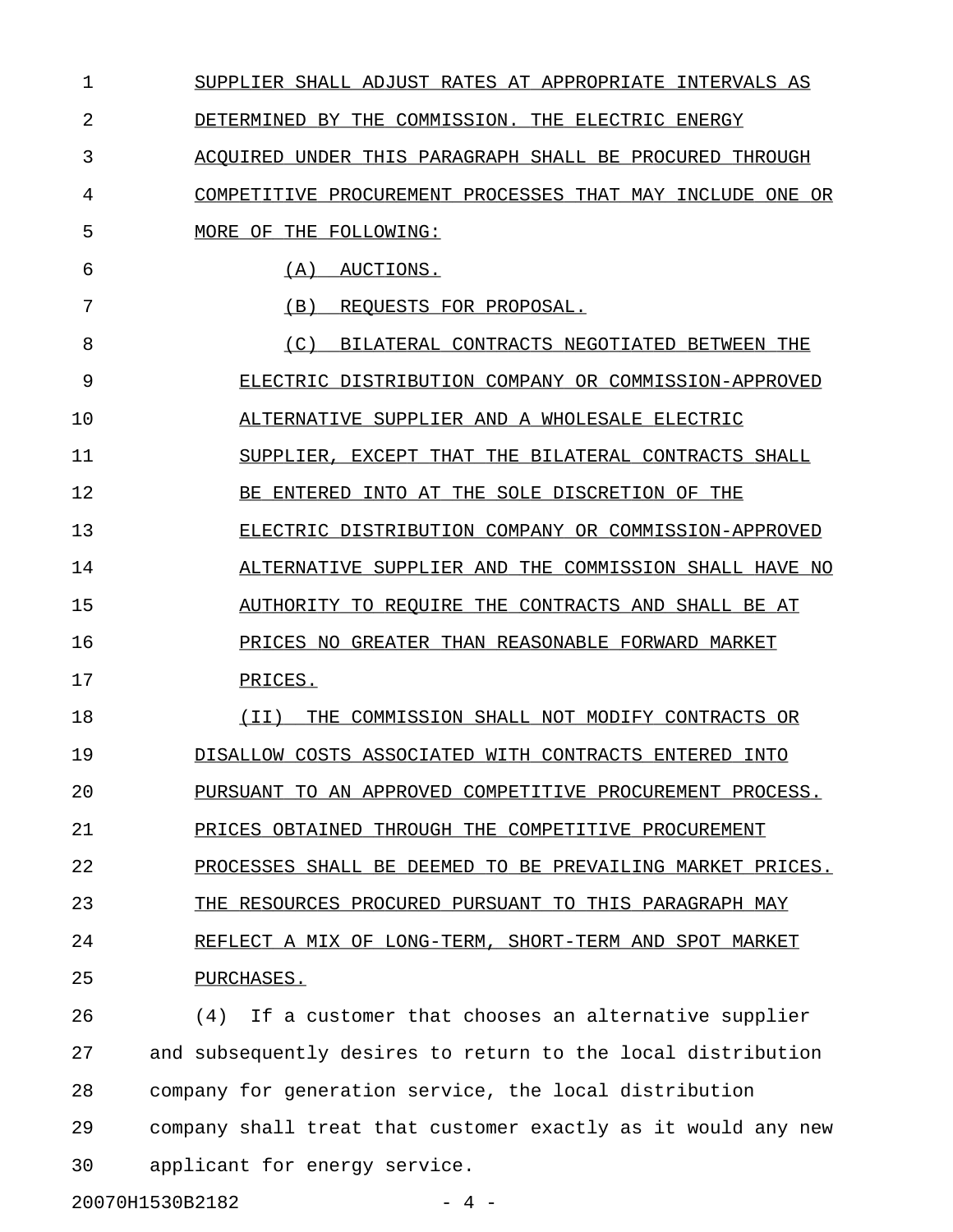1 SUPPLIER SHALL ADJUST RATES AT APPROPRIATE INTERVALS AS 2 DETERMINED BY THE COMMISSION. THE ELECTRIC ENERGY 3 ACQUIRED UNDER THIS PARAGRAPH SHALL BE PROCURED THROUGH 4 COMPETITIVE PROCUREMENT PROCESSES THAT MAY INCLUDE ONE OR 5 MORE OF THE FOLLOWING: 6 (A) AUCTIONS. 7 (B) REQUESTS FOR PROPOSAL. 8 (C) BILATERAL CONTRACTS NEGOTIATED BETWEEN THE 9 ELECTRIC DISTRIBUTION COMPANY OR COMMISSION-APPROVED 10 ALTERNATIVE SUPPLIER AND A WHOLESALE ELECTRIC 11 SUPPLIER, EXCEPT THAT THE BILATERAL CONTRACTS SHALL 12 BE ENTERED INTO AT THE SOLE DISCRETION OF THE 13 ELECTRIC DISTRIBUTION COMPANY OR COMMISSION-APPROVED 14 ALTERNATIVE SUPPLIER AND THE COMMISSION SHALL HAVE NO 15 AUTHORITY TO REQUIRE THE CONTRACTS AND SHALL BE AT 16 PRICES NO GREATER THAN REASONABLE FORWARD MARKET 17 PRICES. 18 (II) THE COMMISSION SHALL NOT MODIFY CONTRACTS OR \_\_\_\_\_\_\_\_\_\_\_\_\_\_\_\_\_\_\_\_\_\_\_\_\_\_\_\_\_\_\_\_\_\_\_\_\_\_\_\_\_\_\_\_\_\_\_\_\_\_ 19 DISALLOW COSTS ASSOCIATED WITH CONTRACTS ENTERED INTO 20 PURSUANT TO AN APPROVED COMPETITIVE PROCUREMENT PROCESS. 21 PRICES OBTAINED THROUGH THE COMPETITIVE PROCUREMENT 22 PROCESSES SHALL BE DEEMED TO BE PREVAILING MARKET PRICES. 23 THE RESOURCES PROCURED PURSUANT TO THIS PARAGRAPH MAY 24 REFLECT A MIX OF LONG-TERM, SHORT-TERM AND SPOT MARKET 25 PURCHASES. 26 (4) If a customer that chooses an alternative supplier 27 and subsequently desires to return to the local distribution 28 company for generation service, the local distribution 29 company shall treat that customer exactly as it would any new 30 applicant for energy service.

20070H1530B2182 - 4 -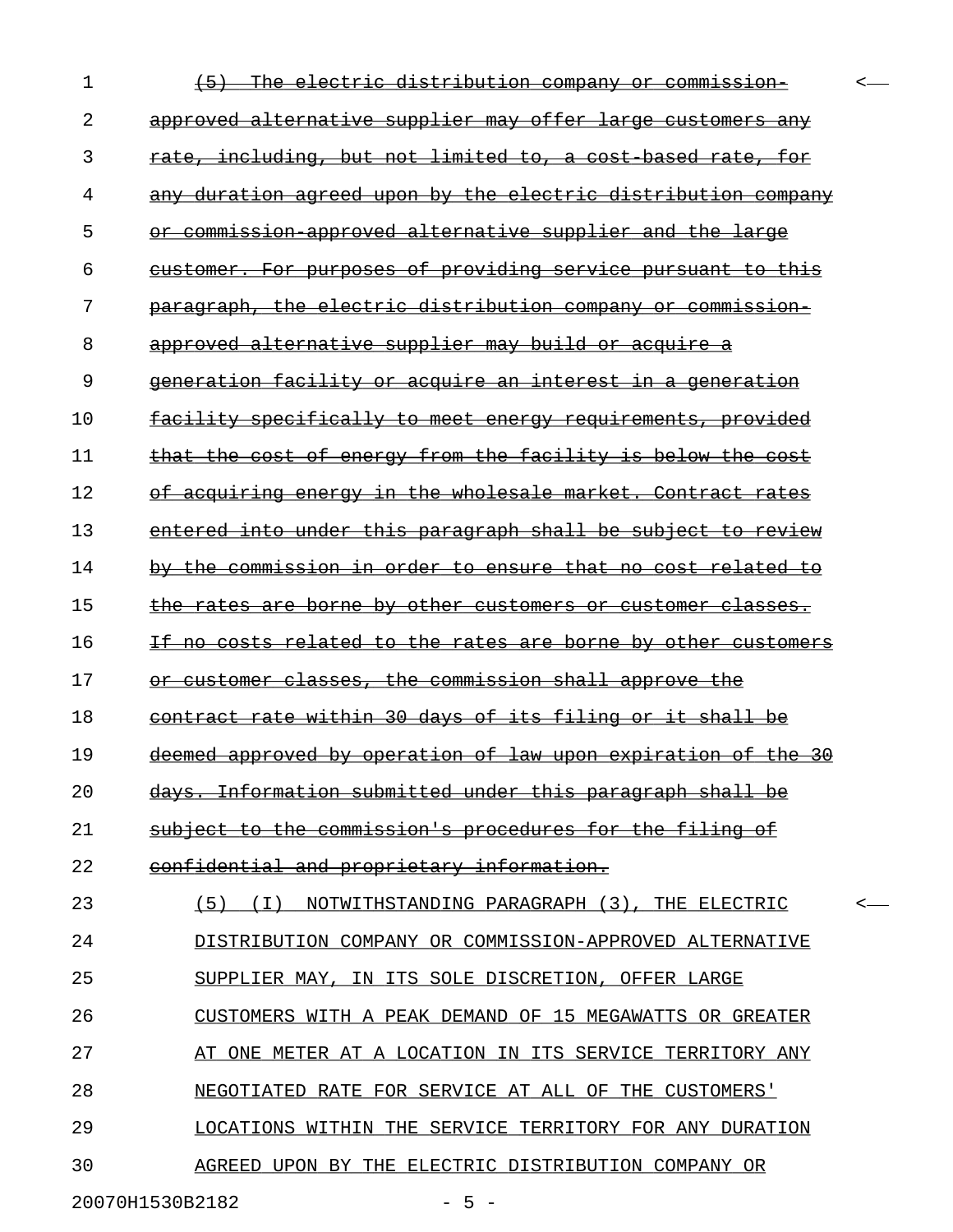| 1  | The electric distribution company or<br><del>commission-</del>    |   |
|----|-------------------------------------------------------------------|---|
| 2  | approved alternative supplier may offer large customers any       |   |
| 3  | rate, including, but not limited to, a cost based rate, for       |   |
| 4  | any duration agreed upon by the electric distribution company     |   |
| 5  | commission approved alternative supplier and the large<br>⊖r      |   |
| 6  | customer. For purposes of providing service pursuant to this      |   |
| 7  | paragraph, the electric distribution company or commission        |   |
| 8  | approved alternative supplier may build or acquire a              |   |
| 9  | <u>generation facility or acquire an interest in a generation</u> |   |
| 10 | facility specifically to meet energy requirements, provided       |   |
| 11 | that the cost of energy from the facility is below the cost       |   |
| 12 | of acquiring energy in the wholesale market. Contract rates       |   |
| 13 | entered into under this paragraph shall be subject to review      |   |
| 14 | by the commission in order to ensure that no cost related to      |   |
| 15 | the rates are borne by other customers or customer classes.       |   |
| 16 | If no costs related to the rates are borne by other customers     |   |
| 17 | or customer classes, the commission shall approve the             |   |
| 18 | contract rate within 30 days of its filing or it shall be         |   |
| 19 | deemed approved by operation of law upon expiration of the 30     |   |
| 20 | days. Information submitted under this paragraph shall be         |   |
| 21 | subject to the commission's procedures for the filing of          |   |
| 22 | confidential and proprietary information.                         |   |
| 23 | (5) (I) NOTWITHSTANDING PARAGRAPH (3), THE ELECTRIC               | ≺ |
| 24 | DISTRIBUTION COMPANY OR COMMISSION-APPROVED ALTERNATIVE           |   |
| 25 | SUPPLIER MAY, IN ITS SOLE DISCRETION, OFFER LARGE                 |   |
| 26 | CUSTOMERS WITH A PEAK DEMAND OF 15 MEGAWATTS OR GREATER           |   |
| 27 | AT ONE METER AT A LOCATION IN ITS SERVICE TERRITORY ANY           |   |
| 28 | NEGOTIATED RATE FOR SERVICE AT ALL OF THE CUSTOMERS'              |   |
| 29 | LOCATIONS WITHIN THE SERVICE TERRITORY FOR ANY DURATION           |   |
| 30 | AGREED UPON BY THE ELECTRIC DISTRIBUTION COMPANY OR               |   |
|    |                                                                   |   |

20070H1530B2182 - 5 -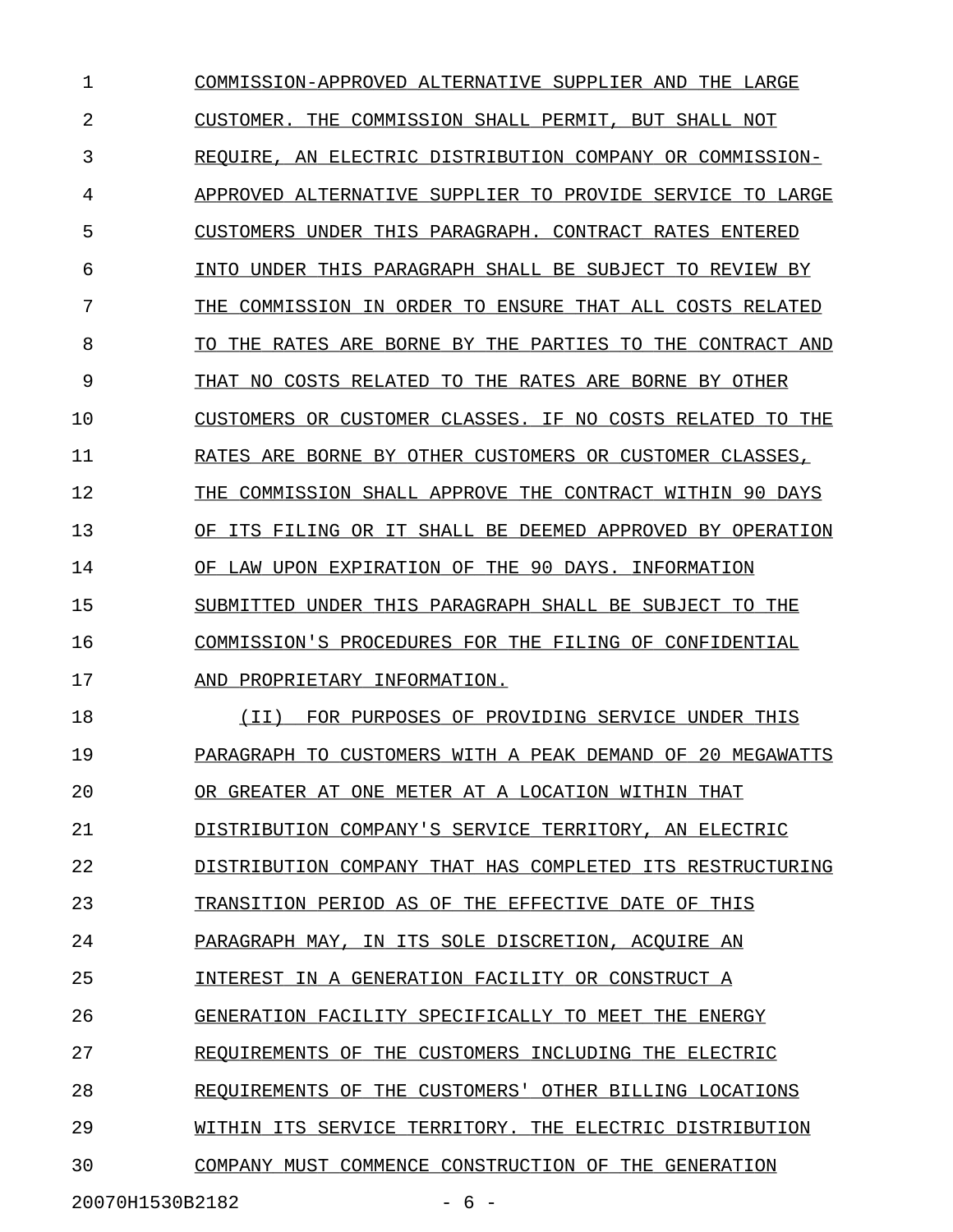1 COMMISSION-APPROVED ALTERNATIVE SUPPLIER AND THE LARGE 2 CUSTOMER. THE COMMISSION SHALL PERMIT, BUT SHALL NOT 3 REQUIRE, AN ELECTRIC DISTRIBUTION COMPANY OR COMMISSION-4 APPROVED ALTERNATIVE SUPPLIER TO PROVIDE SERVICE TO LARGE 5 CUSTOMERS UNDER THIS PARAGRAPH. CONTRACT RATES ENTERED 6 INTO UNDER THIS PARAGRAPH SHALL BE SUBJECT TO REVIEW BY 7 THE COMMISSION IN ORDER TO ENSURE THAT ALL COSTS RELATED 8 TO THE RATES ARE BORNE BY THE PARTIES TO THE CONTRACT AND 9 THAT NO COSTS RELATED TO THE RATES ARE BORNE BY OTHER 10 CUSTOMERS OR CUSTOMER CLASSES. IF NO COSTS RELATED TO THE 11 RATES ARE BORNE BY OTHER CUSTOMERS OR CUSTOMER CLASSES, 12 THE COMMISSION SHALL APPROVE THE CONTRACT WITHIN 90 DAYS 13 OF ITS FILING OR IT SHALL BE DEEMED APPROVED BY OPERATION 14 OF LAW UPON EXPIRATION OF THE 90 DAYS. INFORMATION 15 SUBMITTED UNDER THIS PARAGRAPH SHALL BE SUBJECT TO THE 16 COMMISSION'S PROCEDURES FOR THE FILING OF CONFIDENTIAL 17 AND PROPRIETARY INFORMATION. 18 (II) FOR PURPOSES OF PROVIDING SERVICE UNDER THIS \_\_\_\_\_\_\_\_\_\_\_\_\_\_\_\_\_\_\_\_\_\_\_\_\_\_\_\_\_\_\_\_\_\_\_\_\_\_\_\_\_\_\_\_\_\_\_\_\_\_ 19 PARAGRAPH TO CUSTOMERS WITH A PEAK DEMAND OF 20 MEGAWATTS 20 OR GREATER AT ONE METER AT A LOCATION WITHIN THAT 21 DISTRIBUTION COMPANY'S SERVICE TERRITORY, AN ELECTRIC 22 DISTRIBUTION COMPANY THAT HAS COMPLETED ITS RESTRUCTURING 23 TRANSITION PERIOD AS OF THE EFFECTIVE DATE OF THIS 24 PARAGRAPH MAY, IN ITS SOLE DISCRETION, ACQUIRE AN 25 INTEREST IN A GENERATION FACILITY OR CONSTRUCT A \_\_\_\_\_\_\_\_\_\_\_\_\_\_\_\_\_\_\_\_\_\_\_\_\_\_\_\_\_\_\_\_\_\_\_\_\_\_\_\_\_\_\_\_\_\_\_\_ 26 GENERATION FACILITY SPECIFICALLY TO MEET THE ENERGY 27 REQUIREMENTS OF THE CUSTOMERS INCLUDING THE ELECTRIC 28 REQUIREMENTS OF THE CUSTOMERS' OTHER BILLING LOCATIONS 29 WITHIN ITS SERVICE TERRITORY. THE ELECTRIC DISTRIBUTION 30 COMPANY MUST COMMENCE CONSTRUCTION OF THE GENERATION